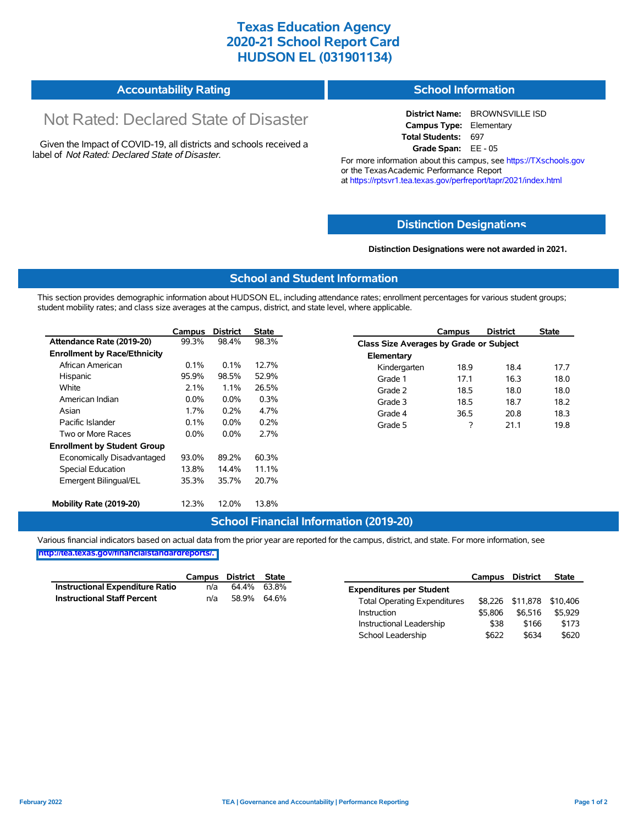# **Texas Education Agency 2020-21 School Report Card HUDSON EL (031901134)**

| <b>Accountability Rating</b> | School Information |
|------------------------------|--------------------|
|------------------------------|--------------------|

# Not Rated: Declared State of Disaster

Given the Impact of COVID-19, all districts and schools received a label of *Not Rated: Declared State of Disaster.*

**District Name:** BROWNSVILLE ISD **Campus Type:** Elementary **Total Students:** 697 **Grade Span:** EE - 05

For more information about this campus, see https://TXschools.gov or the Texas Academic Performance Report at https://rptsvr1.tea.texas.gov/perfreport/tapr/2021/index.html

## **Distinction Designat[ions](https://TXschools.gov)**

**Distinction Designations were not awarded in 2021.**

School Leadership  $$622$  \$634 \$620

#### **School and Student Information**

This section provides demographic information about HUDSON EL, including attendance rates; enrollment percentages for various student groups; student mobility rates; and class size averages at the campus, district, and state level, where applicable.

|                                     | Campus  | <b>District</b> | State |              | Campus                                  | <b>District</b> | <b>State</b> |  |  |
|-------------------------------------|---------|-----------------|-------|--------------|-----------------------------------------|-----------------|--------------|--|--|
| Attendance Rate (2019-20)           | 99.3%   | 98.4%           | 98.3% |              | Class Size Averages by Grade or Subject |                 |              |  |  |
| <b>Enrollment by Race/Ethnicity</b> |         |                 |       | Elementary   |                                         |                 |              |  |  |
| African American                    | $0.1\%$ | 0.1%            | 12.7% | Kindergarten | 18.9                                    | 18.4            | 17.7         |  |  |
| Hispanic                            | 95.9%   | 98.5%           | 52.9% | Grade 1      | 17.1                                    | 16.3            | 18.0         |  |  |
| White                               | 2.1%    | 1.1%            | 26.5% | Grade 2      | 18.5                                    | 18.0            | 18.0         |  |  |
| American Indian                     | $0.0\%$ | 0.0%            | 0.3%  | Grade 3      | 18.5                                    | 18.7            | 18.2         |  |  |
| Asian                               | 1.7%    | 0.2%            | 4.7%  | Grade 4      | 36.5                                    | 20.8            | 18.3         |  |  |
| Pacific Islander                    | 0.1%    | $0.0\%$         | 0.2%  | Grade 5      | ?                                       | 21.1            | 19.8         |  |  |
| Two or More Races                   | $0.0\%$ | $0.0\%$         | 2.7%  |              |                                         |                 |              |  |  |
| <b>Enrollment by Student Group</b>  |         |                 |       |              |                                         |                 |              |  |  |
| Economically Disadvantaged          | 93.0%   | 89.2%           | 60.3% |              |                                         |                 |              |  |  |
| <b>Special Education</b>            | 13.8%   | 14.4%           | 11.1% |              |                                         |                 |              |  |  |
| Emergent Bilingual/EL               | 35.3%   | 35.7%           | 20.7% |              |                                         |                 |              |  |  |
|                                     |         |                 |       |              |                                         |                 |              |  |  |
| Mobility Rate (2019-20)             | 12.3%   | 12.0%           | 13.8% |              |                                         |                 |              |  |  |

## **School Financial Information (2019-20)**

Various financial indicators based on actual data from the prior year are reported for the campus, district, and state. For more information, see

**[http://tea.texas.gov/financialstandardreports/.](http://tea.texas.gov/financialstandardreports/)**

|                                    | Campus | District | State       |                                     | Campus  | <b>District</b>           | <b>State</b> |
|------------------------------------|--------|----------|-------------|-------------------------------------|---------|---------------------------|--------------|
| Instructional Expenditure Ratio    | n/a    | 64.4%    | 63.8%       | <b>Expenditures per Student</b>     |         |                           |              |
| <b>Instructional Staff Percent</b> | n/a    |          | 58.9% 64.6% | <b>Total Operating Expenditures</b> |         | \$8,226 \$11,878 \$10,406 |              |
|                                    |        |          |             | Instruction                         | \$5.806 | \$6.516                   | \$5.929      |
|                                    |        |          |             | Instructional Leadership            | \$38    | \$166                     | \$173        |